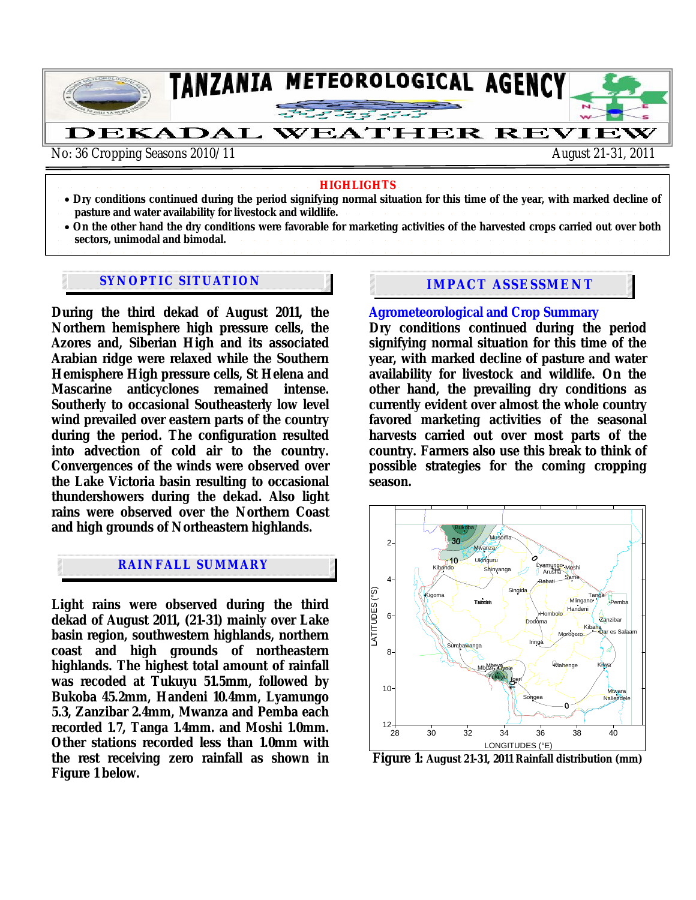

#### **HIGHLIGHTS**

- **Dry conditions continued during the period signifying normal situation for this time of the year, with marked decline of pasture and water availability for livestock and wildlife.**
- **On the other hand the dry conditions were favorable for marketing activities of the harvested crops carried out over both sectors, unimodal and bimodal.**

# **SYNOPTIC SITUATION IMPACT ASSESSMENT**

**During the third dekad of August 2011, the Northern hemisphere high pressure cells, the Azores and, Siberian High and its associated Arabian ridge were relaxed while the Southern Hemisphere High pressure cells, St Helena and Mascarine anticyclones remained intense. Southerly to occasional Southeasterly low level wind prevailed over eastern parts of the country during the period. The configuration resulted into advection of cold air to the country. Convergences of the winds were observed over the Lake Victoria basin resulting to occasional thundershowers during the dekad. Also light rains were observed over the Northern Coast and high grounds of Northeastern highlands.** 

### **RAINFALL SUMMARY**

**Light rains were observed during the third dekad of August 2011, (21-31) mainly over Lake basin region, southwestern highlands, northern coast and high grounds of northeastern highlands. The highest total amount of rainfall was recoded at Tukuyu 51.5mm, followed by Bukoba 45.2mm, Handeni 10.4mm, Lyamungo 5.3, Zanzibar 2.4mm, Mwanza and Pemba each recorded 1.7, Tanga 1.4mm. and Moshi 1.0mm. Other stations recorded less than 1.0mm with the rest receiving zero rainfall as shown in Figure 1 below.** 

#### **Agrometeorological and Crop Summary**

**Dry conditions continued during the period signifying normal situation for this time of the year, with marked decline of pasture and water availability for livestock and wildlife. On the other hand, the prevailing dry conditions as currently evident over almost the whole country favored marketing activities of the seasonal harvests carried out over most parts of the country. Farmers also use this break to think of possible strategies for the coming cropping season.** 



**Figure 1: August 21-31, 2011 Rainfall distribution (mm)**